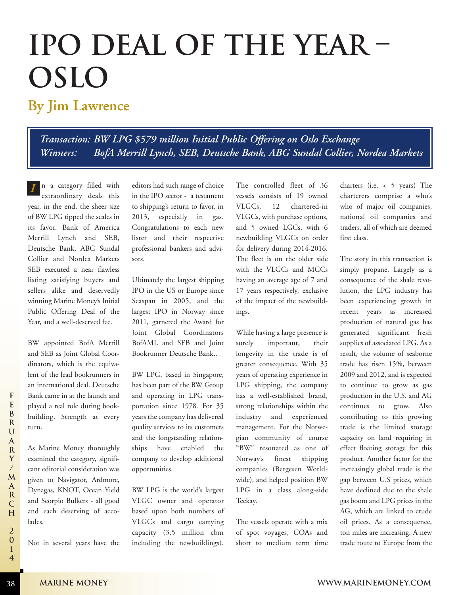## **IPO Deal of the Year – Oslo**

## **By Jim Lawrence**

*Transaction: BW LPG \$579 million Initial Public Offering on Oslo Exchange Winners: BofA Merrill Lynch, SEB, Deutsche Bank, ABG Sundal Collier, Nordea Markets*

n a category filled with extraordinary deals this year, in the end, the sheer size of BW LPG tipped the scales in its favor. Bank of America Merrill Lynch and SEB, Deutsche Bank, ABG Sundal Collier and Nordea Markets SEB executed a near flawless listing satisfying buyers and sellers alike and deservedly winning Marine Money's Initial Public Offering Deal of the Year, and a well-deserved fee. *I*

BW appointed BofA Merrill and SEB as Joint Global Coordinators, which is the equivalent of the lead bookrunners in an international deal. Deutsche Bank came in at the launch and played a real role during bookbuilding. Strength at every turn.

**38**

As Marine Money thoroughly examined the category, significant editorial consideration was given to Navigator, Ardmore, Dynagas, KNOT, Ocean Yield and Scorpio Bulkers - all good and each deserving of accolades.

Not in several years have the

editors had such range of choice in the IPO sector - a testament to shipping's return to favor, in 2013, especially in gas. Congratulations to each new lister and their respective professional bankers and advisors.

Ultimately the largest shipping IPO in the US or Europe since Seaspan in 2005, and the largest IPO in Norway since 2011, garnered the Award for Joint Global Coordinators BofAML and SEB and Joint Bookrunner Deutsche Bank..

BW LPG, based in Singapore, has been part of the BW Group and operating in LPG transportation since 1978. For 35 years the company has delivered quality services to its customers and the longstanding relationships have enabled the company to develop additional opportunities.

BW LPG is the world's largest VLGC owner and operator based upon both numbers of VLGCs and cargo carrying capacity (3.5 million cbm including the newbuildings).

The controlled fleet of 36 vessels consists of 19 owned VLGCs, 12 chartered-in VLGCs, with purchase options, and 5 owned LGCs, with 6 newbuilding VLGCs on order for delivery during 2014-2016. The fleet is on the older side with the VLGCs and MGCs having an average age of 7 and 17 years respectively, exclusive of the impact of the newbuildings.

While having a large presence is surely important, their longevity in the trade is of greater consequence. With 35 years of operating experience in LPG shipping, the company has a well-established brand, strong relationships within the industry and experienced management. For the Norwegian community of course "BW" resonated as one of Norway's finest shipping companies (Bergesen Worldwide), and helped position BW LPG in a class along-side Teekay.

The vessels operate with a mix of spot voyages, COAs and short to medium term time charters (i.e. < 5 years) The charterers comprise a who's who of major oil companies, national oil companies and traders, all of which are deemed first class.

The story in this transaction is simply propane. Largely as a consequence of the shale revolution, the LPG industry has been experiencing growth in recent years as increased production of natural gas has generated significant fresh supplies of associated LPG. As a result, the volume of seaborne trade has risen 15%, between 2009 and 2012, and is expected to continue to grow as gas production in the U.S. and AG continues to grow. Also contributing to this growing trade is the limited storage capacity on land requiring in effect floating storage for this product. Another factor for the increasingly global trade is the gap between U.S prices, which have declined due to the shale gas boom and LPG prices in the AG, which are linked to crude oil prices. As a consequence, ton miles are increasing. A new trade route to Europe from the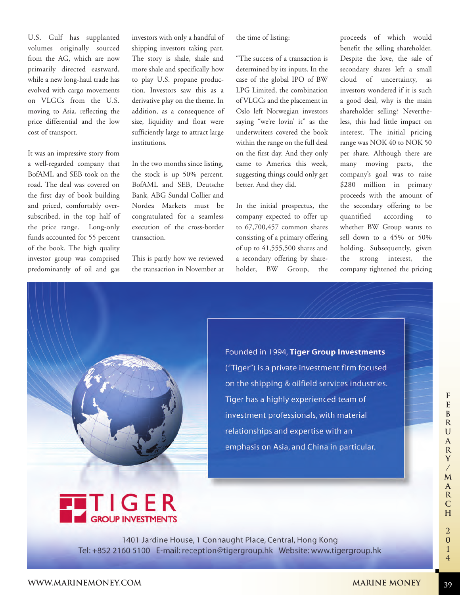U.S. Gulf has supplanted volumes originally sourced from the AG, which are now primarily directed eastward, while a new long-haul trade has evolved with cargo movements on VLGCs from the U.S. moving to Asia, reflecting the price differential and the low cost of transport.

It was an impressive story from a well-regarded company that BofAML and SEB took on the road. The deal was covered on the first day of book building and priced, comfortably oversubscribed, in the top half of the price range. Long-only funds accounted for 55 percent of the book. The high quality investor group was comprised predominantly of oil and gas

investors with only a handful of shipping investors taking part. The story is shale, shale and more shale and specifically how to play U.S. propane production. Investors saw this as a derivative play on the theme. In addition, as a consequence of size, liquidity and float were sufficiently large to attract large institutions.

In the two months since listing, the stock is up 50% percent. BofAML and SEB, Deutsche Bank, ABG Sundal Collier and Nordea Markets must be congratulated for a seamless execution of the cross-border transaction.

This is partly how we reviewed the transaction in November at the time of listing:

"The success of a transaction is determined by its inputs. In the case of the global IPO of BW LPG Limited, the combination of VLGCs and the placement in Oslo left Norwegian investors saying "we're lovin' it" as the underwriters covered the book within the range on the full deal on the first day. And they only came to America this week, suggesting things could only get better. And they did.

In the initial prospectus, the company expected to offer up to 67,700,457 common shares consisting of a primary offering of up to 41,555,500 shares and a secondary offering by shareholder, BW Group, the proceeds of which would benefit the selling shareholder. Despite the love, the sale of secondary shares left a small cloud of uncertainty, as investors wondered if it is such a good deal, why is the main shareholder selling? Nevertheless, this had little impact on interest. The initial pricing range was NOK 40 to NOK 50 per share. Although there are many moving parts, the company's goal was to raise \$280 million in primary proceeds with the amount of the secondary offering to be quantified according to whether BW Group wants to sell down to a 45% or 50% holding. Subsequently, given the strong interest, the company tightened the pricing



Founded in 1994, Tiger Group Investments ("Tiger") is a private investment firm focused on the shipping & oilfield services industries. Tiger has a highly experienced team of investment professionals, with material relationships and expertise with an emphasis on Asia, and China in particular.



1401 Jardine House, 1 Connaught Place, Central, Hong Kong Tel: +852 2160 5100 E-mail: reception@tigergroup.hk Website: www.tigergroup.hk

**39**